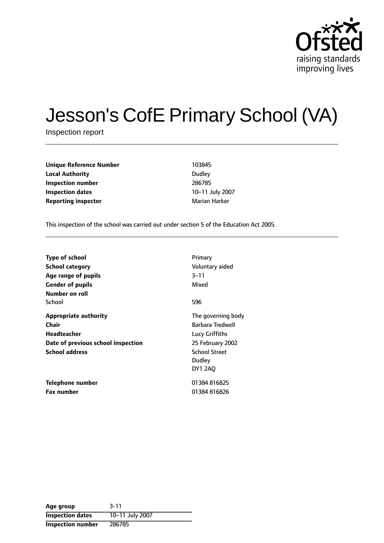

# Jesson's CofE Primary School (VA)

Inspection report

**Unique Reference Number** 103845 **Local Authority** Dudley **Inspection number** 286785 **Inspection dates** 10-11 July 2007 **Reporting inspector Marian Harker** Marian Harker

This inspection of the school was carried out under section 5 of the Education Act 2005.

| <b>Type of school</b><br>School category<br>Age range of pupils<br><b>Gender of pupils</b><br>Number on roll               | Primary<br>Voluntary aided<br>$3 - 11$<br>Mixed                                                                           |
|----------------------------------------------------------------------------------------------------------------------------|---------------------------------------------------------------------------------------------------------------------------|
| School                                                                                                                     | 596                                                                                                                       |
| <b>Appropriate authority</b><br>Chair<br><b>Headteacher</b><br>Date of previous school inspection<br><b>School address</b> | The governing body<br>Barbara Tredwell<br>Lucy Griffiths<br>25 February 2002<br><b>School Street</b><br>Dudley<br>DY1 2AO |
| Telephone number<br><b>Fax number</b>                                                                                      | 01384816825<br>01384816826                                                                                                |

| Age group                | $3 - 11$        |
|--------------------------|-----------------|
| <b>Inspection dates</b>  | 10-11 July 2007 |
| <b>Inspection number</b> | 286785          |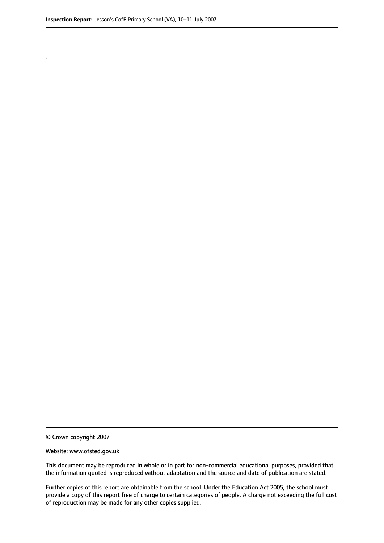.

© Crown copyright 2007

#### Website: www.ofsted.gov.uk

This document may be reproduced in whole or in part for non-commercial educational purposes, provided that the information quoted is reproduced without adaptation and the source and date of publication are stated.

Further copies of this report are obtainable from the school. Under the Education Act 2005, the school must provide a copy of this report free of charge to certain categories of people. A charge not exceeding the full cost of reproduction may be made for any other copies supplied.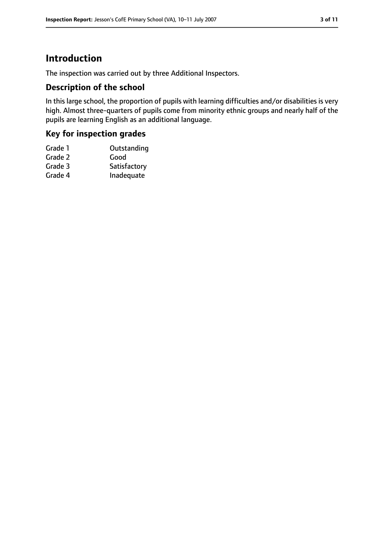# **Introduction**

The inspection was carried out by three Additional Inspectors.

#### **Description of the school**

In this large school, the proportion of pupils with learning difficulties and/or disabilities is very high. Almost three-quarters of pupils come from minority ethnic groups and nearly half of the pupils are learning English as an additional language.

## **Key for inspection grades**

| Grade 1 | Outstanding  |
|---------|--------------|
| Grade 2 | Good         |
| Grade 3 | Satisfactory |
| Grade 4 | Inadequate   |
|         |              |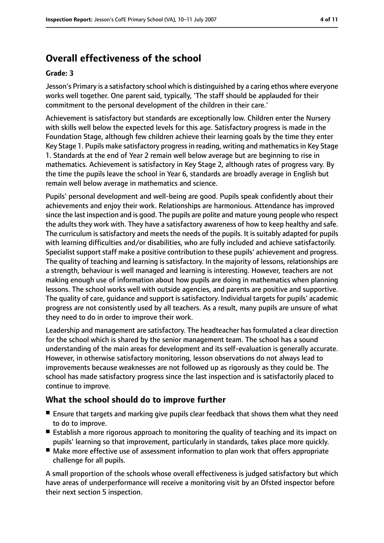# **Overall effectiveness of the school**

#### **Grade: 3**

Jesson's Primary is a satisfactory school which is distinguished by a caring ethos where everyone works well together. One parent said, typically, 'The staff should be applauded for their commitment to the personal development of the children in their care.'

Achievement is satisfactory but standards are exceptionally low. Children enter the Nursery with skills well below the expected levels for this age. Satisfactory progress is made in the Foundation Stage, although few children achieve their learning goals by the time they enter Key Stage 1. Pupils make satisfactory progress in reading, writing and mathematics in Key Stage 1. Standards at the end of Year 2 remain well below average but are beginning to rise in mathematics. Achievement is satisfactory in Key Stage 2, although rates of progress vary. By the time the pupils leave the school in Year 6, standards are broadly average in English but remain well below average in mathematics and science.

Pupils' personal development and well-being are good. Pupils speak confidently about their achievements and enjoy their work. Relationships are harmonious. Attendance has improved since the last inspection and is good. The pupils are polite and mature young people who respect the adults they work with. They have a satisfactory awareness of how to keep healthy and safe. The curriculum is satisfactory and meets the needs of the pupils. It is suitably adapted for pupils with learning difficulties and/or disabilities, who are fully included and achieve satisfactorily. Specialist support staff make a positive contribution to these pupils' achievement and progress. The quality of teaching and learning is satisfactory. In the majority of lessons, relationships are a strength, behaviour is well managed and learning is interesting. However, teachers are not making enough use of information about how pupils are doing in mathematics when planning lessons. The school works well with outside agencies, and parents are positive and supportive. The quality of care, guidance and support is satisfactory. Individual targets for pupils' academic progress are not consistently used by all teachers. As a result, many pupils are unsure of what they need to do in order to improve their work.

Leadership and management are satisfactory. The headteacher has formulated a clear direction for the school which is shared by the senior management team. The school has a sound understanding of the main areas for development and its self-evaluation is generally accurate. However, in otherwise satisfactory monitoring, lesson observations do not always lead to improvements because weaknesses are not followed up as rigorously as they could be. The school has made satisfactory progress since the last inspection and is satisfactorily placed to continue to improve.

## **What the school should do to improve further**

- Ensure that targets and marking give pupils clear feedback that shows them what they need to do to improve.
- Establish a more rigorous approach to monitoring the quality of teaching and its impact on pupils' learning so that improvement, particularly in standards, takes place more quickly.
- Make more effective use of assessment information to plan work that offers appropriate challenge for all pupils.

A small proportion of the schools whose overall effectiveness is judged satisfactory but which have areas of underperformance will receive a monitoring visit by an Ofsted inspector before their next section 5 inspection.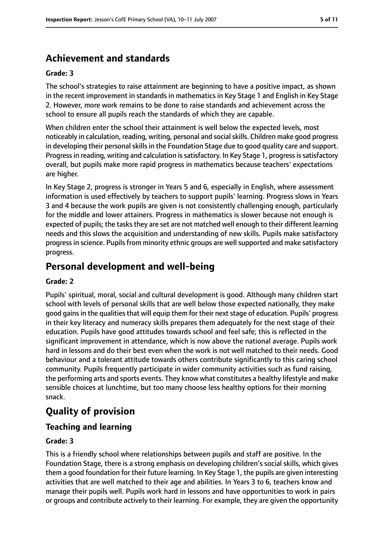# **Achievement and standards**

#### **Grade: 3**

The school's strategies to raise attainment are beginning to have a positive impact, as shown in the recent improvement in standards in mathematics in Key Stage 1 and English in Key Stage 2. However, more work remains to be done to raise standards and achievement across the school to ensure all pupils reach the standards of which they are capable.

When children enter the school their attainment is well below the expected levels, most noticeably in calculation, reading, writing, personal and social skills. Children make good progress in developing their personal skills in the Foundation Stage due to good quality care and support. Progress in reading, writing and calculation is satisfactory. In Key Stage 1, progress is satisfactory overall, but pupils make more rapid progress in mathematics because teachers' expectations are higher.

In Key Stage 2, progress is stronger in Years 5 and 6, especially in English, where assessment information is used effectively by teachers to support pupils' learning. Progress slows in Years 3 and 4 because the work pupils are given is not consistently challenging enough, particularly for the middle and lower attainers. Progress in mathematics is slower because not enough is expected of pupils; the tasks they are set are not matched well enough to their different learning needs and this slows the acquisition and understanding of new skills. Pupils make satisfactory progress in science. Pupils from minority ethnic groups are well supported and make satisfactory progress.

# **Personal development and well-being**

#### **Grade: 2**

Pupils' spiritual, moral, social and cultural development is good. Although many children start school with levels of personal skills that are well below those expected nationally, they make good gains in the qualities that will equip them for their next stage of education. Pupils' progress in their key literacy and numeracy skills prepares them adequately for the next stage of their education. Pupils have good attitudes towards school and feel safe; this is reflected in the significant improvement in attendance, which is now above the national average. Pupils work hard in lessons and do their best even when the work is not well matched to their needs. Good behaviour and a tolerant attitude towards others contribute significantly to this caring school community. Pupils frequently participate in wider community activities such as fund raising, the performing arts and sports events. They know what constitutes a healthy lifestyle and make sensible choices at lunchtime, but too many choose less healthy options for their morning snack.

# **Quality of provision**

## **Teaching and learning**

#### **Grade: 3**

This is a friendly school where relationships between pupils and staff are positive. In the Foundation Stage, there is a strong emphasis on developing children's social skills, which gives them a good foundation for their future learning. In Key Stage 1, the pupils are given interesting activities that are well matched to their age and abilities. In Years 3 to 6, teachers know and manage their pupils well. Pupils work hard in lessons and have opportunities to work in pairs or groups and contribute actively to their learning. For example, they are given the opportunity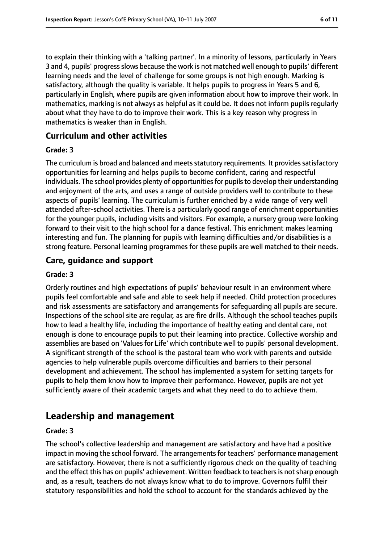to explain their thinking with a 'talking partner'. In a minority of lessons, particularly in Years 3 and 4, pupils' progress slows because the work is not matched well enough to pupils' different learning needs and the level of challenge for some groups is not high enough. Marking is satisfactory, although the quality is variable. It helps pupils to progress in Years 5 and 6, particularly in English, where pupils are given information about how to improve their work. In mathematics, marking is not always as helpful as it could be. It does not inform pupils regularly about what they have to do to improve their work. This is a key reason why progress in mathematics is weaker than in English.

## **Curriculum and other activities**

#### **Grade: 3**

The curriculum is broad and balanced and meets statutory requirements. It provides satisfactory opportunities for learning and helps pupils to become confident, caring and respectful individuals. The school provides plenty of opportunities for pupils to develop their understanding and enjoyment of the arts, and uses a range of outside providers well to contribute to these aspects of pupils' learning. The curriculum is further enriched by a wide range of very well attended after-school activities. There is a particularly good range of enrichment opportunities for the younger pupils, including visits and visitors. For example, a nursery group were looking forward to their visit to the high school for a dance festival. This enrichment makes learning interesting and fun. The planning for pupils with learning difficulties and/or disabilities is a strong feature. Personal learning programmes for these pupils are well matched to their needs.

## **Care, guidance and support**

#### **Grade: 3**

Orderly routines and high expectations of pupils' behaviour result in an environment where pupils feel comfortable and safe and able to seek help if needed. Child protection procedures and risk assessments are satisfactory and arrangements for safeguarding all pupils are secure. Inspections of the school site are regular, as are fire drills. Although the school teaches pupils how to lead a healthy life, including the importance of healthy eating and dental care, not enough is done to encourage pupils to put their learning into practice. Collective worship and assemblies are based on 'Values for Life' which contribute well to pupils' personal development. A significant strength of the school is the pastoral team who work with parents and outside agencies to help vulnerable pupils overcome difficulties and barriers to their personal development and achievement. The school has implemented a system for setting targets for pupils to help them know how to improve their performance. However, pupils are not yet sufficiently aware of their academic targets and what they need to do to achieve them.

# **Leadership and management**

#### **Grade: 3**

The school's collective leadership and management are satisfactory and have had a positive impact in moving the school forward. The arrangements for teachers' performance management are satisfactory. However, there is not a sufficiently rigorous check on the quality of teaching and the effect this has on pupils' achievement. Written feedback to teachers is not sharp enough and, as a result, teachers do not always know what to do to improve. Governors fulfil their statutory responsibilities and hold the school to account for the standards achieved by the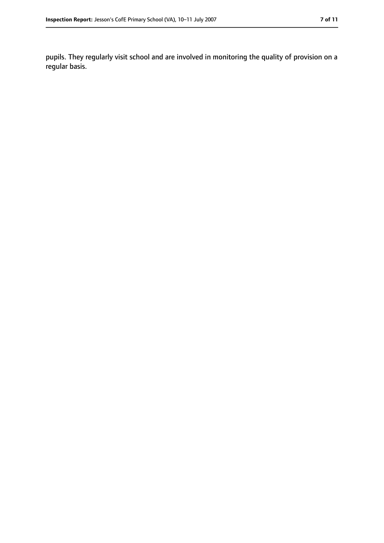pupils. They regularly visit school and are involved in monitoring the quality of provision on a regular basis.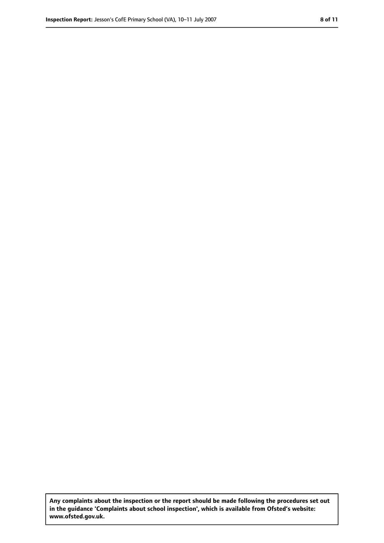**Any complaints about the inspection or the report should be made following the procedures set out in the guidance 'Complaints about school inspection', which is available from Ofsted's website: www.ofsted.gov.uk.**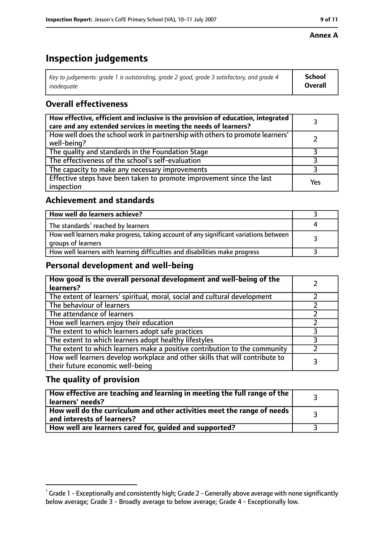#### **Annex A**

# **Inspection judgements**

| Key to judgements: grade 1 is outstanding, grade 2 good, grade 3 satisfactory, and grade 4 | <b>School</b>  |
|--------------------------------------------------------------------------------------------|----------------|
| inadequate                                                                                 | <b>Overall</b> |

## **Overall effectiveness**

| How effective, efficient and inclusive is the provision of education, integrated<br>care and any extended services in meeting the needs of learners? |     |
|------------------------------------------------------------------------------------------------------------------------------------------------------|-----|
| How well does the school work in partnership with others to promote learners'<br>well-being?                                                         |     |
| The quality and standards in the Foundation Stage                                                                                                    |     |
| The effectiveness of the school's self-evaluation                                                                                                    |     |
| The capacity to make any necessary improvements                                                                                                      |     |
| Effective steps have been taken to promote improvement since the last<br>inspection                                                                  | Yes |

## **Achievement and standards**

| How well do learners achieve?                                                                               |  |
|-------------------------------------------------------------------------------------------------------------|--|
| The standards <sup>1</sup> reached by learners                                                              |  |
| How well learners make progress, taking account of any significant variations between<br>groups of learners |  |
| How well learners with learning difficulties and disabilities make progress                                 |  |

## **Personal development and well-being**

| How good is the overall personal development and well-being of the<br>learners?                                  |  |
|------------------------------------------------------------------------------------------------------------------|--|
| The extent of learners' spiritual, moral, social and cultural development                                        |  |
| The behaviour of learners                                                                                        |  |
| The attendance of learners                                                                                       |  |
| How well learners enjoy their education                                                                          |  |
| The extent to which learners adopt safe practices                                                                |  |
| The extent to which learners adopt healthy lifestyles                                                            |  |
| The extent to which learners make a positive contribution to the community                                       |  |
| How well learners develop workplace and other skills that will contribute to<br>their future economic well-being |  |

## **The quality of provision**

| How effective are teaching and learning in meeting the full range of the<br>learners' needs?          |  |
|-------------------------------------------------------------------------------------------------------|--|
| How well do the curriculum and other activities meet the range of needs<br>and interests of learners? |  |
| How well are learners cared for, quided and supported?                                                |  |

 $^1$  Grade 1 - Exceptionally and consistently high; Grade 2 - Generally above average with none significantly below average; Grade 3 - Broadly average to below average; Grade 4 - Exceptionally low.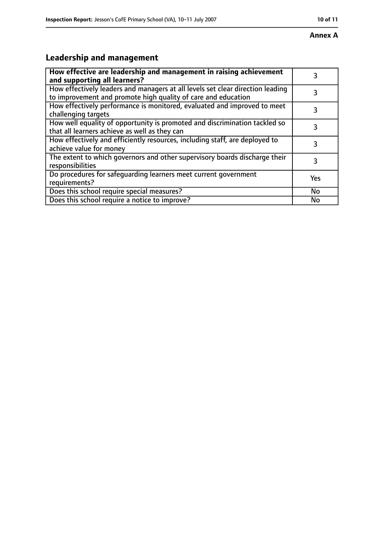#### **Annex A**

# **Leadership and management**

| How effective are leadership and management in raising achievement<br>and supporting all learners?                                              | 3         |
|-------------------------------------------------------------------------------------------------------------------------------------------------|-----------|
| How effectively leaders and managers at all levels set clear direction leading<br>to improvement and promote high quality of care and education |           |
| How effectively performance is monitored, evaluated and improved to meet<br>challenging targets                                                 | 3         |
| How well equality of opportunity is promoted and discrimination tackled so<br>that all learners achieve as well as they can                     |           |
| How effectively and efficiently resources, including staff, are deployed to<br>achieve value for money                                          | 3         |
| The extent to which governors and other supervisory boards discharge their<br>responsibilities                                                  | 3         |
| Do procedures for safequarding learners meet current government<br>requirements?                                                                | Yes       |
| Does this school require special measures?                                                                                                      | <b>No</b> |
| Does this school require a notice to improve?                                                                                                   | No        |